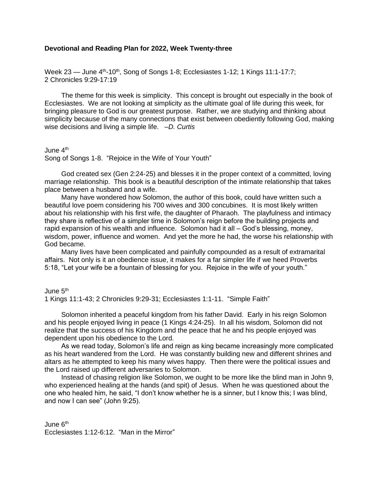# **Devotional and Reading Plan for 2022, Week Twenty-three**

Week 23 – June 4<sup>th</sup>-10<sup>th</sup>, Song of Songs 1-8; Ecclesiastes 1-12; 1 Kings 11:1-17:7; 2 Chronicles 9:29-17:19

The theme for this week is simplicity. This concept is brought out especially in the book of Ecclesiastes. We are not looking at simplicity as the ultimate goal of life during this week, for bringing pleasure to God is our greatest purpose. Rather, we are studying and thinking about simplicity because of the many connections that exist between obediently following God, making wise decisions and living a simple life. –*D. Curtis*

June 4<sup>th</sup>

Song of Songs 1-8. "Rejoice in the Wife of Your Youth"

God created sex (Gen 2:24-25) and blesses it in the proper context of a committed, loving marriage relationship. This book is a beautiful description of the intimate relationship that takes place between a husband and a wife.

Many have wondered how Solomon, the author of this book, could have written such a beautiful love poem considering his 700 wives and 300 concubines. It is most likely written about his relationship with his first wife, the daughter of Pharaoh. The playfulness and intimacy they share is reflective of a simpler time in Solomon's reign before the building projects and rapid expansion of his wealth and influence. Solomon had it all – God's blessing, money, wisdom, power, influence and women. And yet the more he had, the worse his relationship with God became.

Many lives have been complicated and painfully compounded as a result of extramarital affairs. Not only is it an obedience issue, it makes for a far simpler life if we heed Proverbs 5:18, "Let your wife be a fountain of blessing for you. Rejoice in the wife of your youth."

June 5<sup>th</sup>

1 Kings 11:1-43; 2 Chronicles 9:29-31; Ecclesiastes 1:1-11. "Simple Faith"

Solomon inherited a peaceful kingdom from his father David. Early in his reign Solomon and his people enjoyed living in peace (1 Kings 4:24-25). In all his wisdom, Solomon did not realize that the success of his Kingdom and the peace that he and his people enjoyed was dependent upon his obedience to the Lord.

As we read today, Solomon's life and reign as king became increasingly more complicated as his heart wandered from the Lord. He was constantly building new and different shrines and altars as he attempted to keep his many wives happy. Then there were the political issues and the Lord raised up different adversaries to Solomon.

Instead of chasing religion like Solomon, we ought to be more like the blind man in John 9, who experienced healing at the hands (and spit) of Jesus. When he was questioned about the one who healed him, he said, "I don't know whether he is a sinner, but I know this; I was blind, and now I can see" (John 9:25).

June 6<sup>th</sup> Ecclesiastes 1:12-6:12. "Man in the Mirror"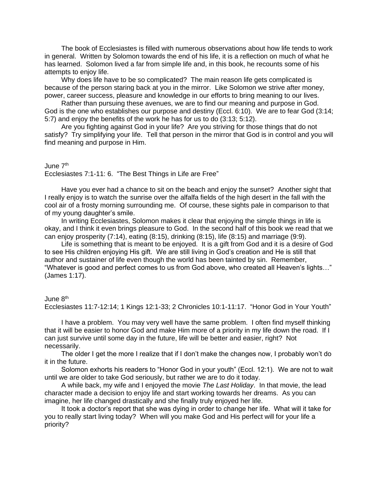The book of Ecclesiastes is filled with numerous observations about how life tends to work in general. Written by Solomon towards the end of his life, it is a reflection on much of what he has learned. Solomon lived a far from simple life and, in this book, he recounts some of his attempts to enjoy life.

Why does life have to be so complicated? The main reason life gets complicated is because of the person staring back at you in the mirror. Like Solomon we strive after money, power, career success, pleasure and knowledge in our efforts to bring meaning to our lives.

Rather than pursuing these avenues, we are to find our meaning and purpose in God. God is the one who establishes our purpose and destiny (Eccl. 6:10). We are to fear God (3:14; 5:7) and enjoy the benefits of the work he has for us to do (3:13; 5:12).

Are you fighting against God in your life? Are you striving for those things that do not satisfy? Try simplifying your life. Tell that person in the mirror that God is in control and you will find meaning and purpose in Him.

#### June 7th

Ecclesiastes 7:1-11: 6. "The Best Things in Life are Free"

Have you ever had a chance to sit on the beach and enjoy the sunset? Another sight that I really enjoy is to watch the sunrise over the alfalfa fields of the high desert in the fall with the cool air of a frosty morning surrounding me. Of course, these sights pale in comparison to that of my young daughter's smile.

In writing Ecclesiastes, Solomon makes it clear that enjoying the simple things in life is okay, and I think it even brings pleasure to God. In the second half of this book we read that we can enjoy prosperity (7:14), eating (8:15), drinking (8:15), life (8:15) and marriage (9:9).

Life is something that is meant to be enjoyed. It is a gift from God and it is a desire of God to see His children enjoying His gift. We are still living in God's creation and He is still that author and sustainer of life even though the world has been tainted by sin. Remember, "Whatever is good and perfect comes to us from God above, who created all Heaven's lights…" (James 1:17).

### June 8th

Ecclesiastes 11:7-12:14; 1 Kings 12:1-33; 2 Chronicles 10:1-11:17. "Honor God in Your Youth"

I have a problem. You may very well have the same problem. I often find myself thinking that it will be easier to honor God and make Him more of a priority in my life down the road. If I can just survive until some day in the future, life will be better and easier, right? Not necessarily.

The older I get the more I realize that if I don't make the changes now, I probably won't do it in the future.

Solomon exhorts his readers to "Honor God in your youth" (Eccl. 12:1). We are not to wait until we are older to take God seriously, but rather we are to do it today.

A while back, my wife and I enjoyed the movie *The Last Holiday*. In that movie, the lead character made a decision to enjoy life and start working towards her dreams. As you can imagine, her life changed drastically and she finally truly enjoyed her life.

It took a doctor's report that she was dying in order to change her life. What will it take for you to really start living today? When will you make God and His perfect will for your life a priority?